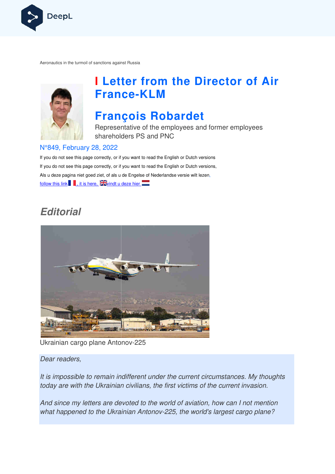

Aeronautics in the turmoil of sanctions against Russia



# **I Letter from the Director of Air France France-KLM**

## **François Robardet**

Representative of the employees and former employees shareholders PS and PNC

#### N°849, February 28, 2022

If you do not see this page correctly, or if you want to read the English or Dutch versions If you do not see this page correctly, or if you want to read the English or Dutch versions, Als u deze pagina niet goed ziet, of als u de Engelse of Nederlandse v versie wilt lezen, follow this link  $\blacksquare$ , it is here,  $\mathbb{R}$  vindt u deze hier

## **Editorial**



Ukrainian cargo plane Antonov-225

Dear readers,

It is impossible to remain indifferent under the current circumstances. My thoughts today are with the Ukrainian civilians, the first victims of the current invasion.

And since my letters are devoted to the world of aviation, how can I not mention what happened to the Ukrainian Antonov-225, the world's largest cargo plane?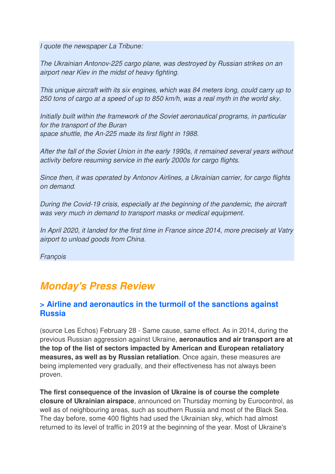I quote the newspaper La Tribune:

The Ukrainian Antonov-225 cargo plane, was destroyed by Russian strikes on an airport near Kiev in the midst of heavy fighting.

This unique aircraft with its six engines, which was 84 meters long, could carry up to 250 tons of cargo at a speed of up to 850 km/h, was a real myth in the world sky.

Initially built within the framework of the Soviet aeronautical programs, in particular for the transport of the Buran space shuttle, the An-225 made its first flight in 1988.

After the fall of the Soviet Union in the early 1990s, it remained several years without activity before resuming service in the early 2000s for cargo flights.

Since then, it was operated by Antonov Airlines, a Ukrainian carrier, for cargo flights on demand.

During the Covid-19 crisis, especially at the beginning of the pandemic, the aircraft was very much in demand to transport masks or medical equipment.

In April 2020, it landed for the first time in France since 2014, more precisely at Vatry airport to unload goods from China.

**Francois** 

## **Monday's Press Review**

### **> Airline and aeronautics in the turmoil of the sanctions against Russia**

(source Les Echos) February 28 - Same cause, same effect. As in 2014, during the previous Russian aggression against Ukraine, **aeronautics and air transport are at the top of the list of sectors impacted by American and European retaliatory measures, as well as by Russian retaliation**. Once again, these measures are being implemented very gradually, and their effectiveness has not always been proven.

**The first consequence of the invasion of Ukraine is of course the complete closure of Ukrainian airspace**, announced on Thursday morning by Eurocontrol, as well as of neighbouring areas, such as southern Russia and most of the Black Sea. The day before, some 400 flights had used the Ukrainian sky, which had almost returned to its level of traffic in 2019 at the beginning of the year. Most of Ukraine's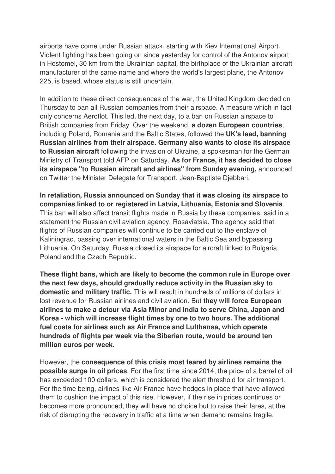airports have come under Russian attack, starting with Kiev International Airport. Violent fighting has been going on since yesterday for control of the Antonov airport in Hostomel, 30 km from the Ukrainian capital, the birthplace of the Ukrainian aircraft manufacturer of the same name and where the world's largest plane, the Antonov 225, is based, whose status is still uncertain.

In addition to these direct consequences of the war, the United Kingdom decided on Thursday to ban all Russian companies from their airspace. A measure which in fact only concerns Aeroflot. This led, the next day, to a ban on Russian airspace to British companies from Friday. Over the weekend, **a dozen European countries**, including Poland, Romania and the Baltic States, followed the **UK's lead, banning Russian airlines from their airspace. Germany also wants to close its airspace to Russian aircraft** following the invasion of Ukraine, a spokesman for the German Ministry of Transport told AFP on Saturday. **As for France, it has decided to close its airspace "to Russian aircraft and airlines" from Sunday evening,** announced on Twitter the Minister Delegate for Transport, Jean-Baptiste Djebbari.

**In retaliation, Russia announced on Sunday that it was closing its airspace to companies linked to or registered in Latvia, Lithuania, Estonia and Slovenia**. This ban will also affect transit flights made in Russia by these companies, said in a statement the Russian civil aviation agency, Rosaviatsia. The agency said that flights of Russian companies will continue to be carried out to the enclave of Kaliningrad, passing over international waters in the Baltic Sea and bypassing Lithuania. On Saturday, Russia closed its airspace for aircraft linked to Bulgaria, Poland and the Czech Republic.

**These flight bans, which are likely to become the common rule in Europe over the next few days, should gradually reduce activity in the Russian sky to domestic and military traffic.** This will result in hundreds of millions of dollars in lost revenue for Russian airlines and civil aviation. But **they will force European airlines to make a detour via Asia Minor and India to serve China, Japan and Korea - which will increase flight times by one to two hours. The additional fuel costs for airlines such as Air France and Lufthansa, which operate hundreds of flights per week via the Siberian route, would be around ten million euros per week.** 

However, the **consequence of this crisis most feared by airlines remains the possible surge in oil prices**. For the first time since 2014, the price of a barrel of oil has exceeded 100 dollars, which is considered the alert threshold for air transport. For the time being, airlines like Air France have hedges in place that have allowed them to cushion the impact of this rise. However, if the rise in prices continues or becomes more pronounced, they will have no choice but to raise their fares, at the risk of disrupting the recovery in traffic at a time when demand remains fragile.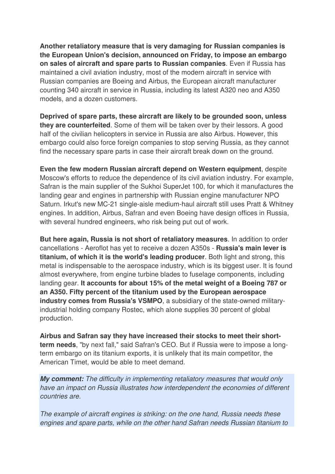**Another retaliatory measure that is very damaging for Russian companies is the European Union's decision, announced on Friday, to impose an embargo on sales of aircraft and spare parts to Russian companies**. Even if Russia has maintained a civil aviation industry, most of the modern aircraft in service with Russian companies are Boeing and Airbus, the European aircraft manufacturer counting 340 aircraft in service in Russia, including its latest A320 neo and A350 models, and a dozen customers.

**Deprived of spare parts, these aircraft are likely to be grounded soon, unless they are counterfeited**. Some of them will be taken over by their lessors. A good half of the civilian helicopters in service in Russia are also Airbus. However, this embargo could also force foreign companies to stop serving Russia, as they cannot find the necessary spare parts in case their aircraft break down on the ground.

**Even the few modern Russian aircraft depend on Western equipment**, despite Moscow's efforts to reduce the dependence of its civil aviation industry. For example, Safran is the main supplier of the Sukhoi SuperJet 100, for which it manufactures the landing gear and engines in partnership with Russian engine manufacturer NPO Saturn. Irkut's new MC-21 single-aisle medium-haul aircraft still uses Pratt & Whitney engines. In addition, Airbus, Safran and even Boeing have design offices in Russia, with several hundred engineers, who risk being put out of work.

**But here again, Russia is not short of retaliatory measures**. In addition to order cancellations - Aeroflot has yet to receive a dozen A350s - **Russia's main lever is titanium, of which it is the world's leading producer**. Both light and strong, this metal is indispensable to the aerospace industry, which is its biggest user. It is found almost everywhere, from engine turbine blades to fuselage components, including landing gear. **It accounts for about 15% of the metal weight of a Boeing 787 or an A350. Fifty percent of the titanium used by the European aerospace industry comes from Russia's VSMPO**, a subsidiary of the state-owned militaryindustrial holding company Rostec, which alone supplies 30 percent of global production.

**Airbus and Safran say they have increased their stocks to meet their shortterm needs**, "by next fall," said Safran's CEO. But if Russia were to impose a longterm embargo on its titanium exports, it is unlikely that its main competitor, the American Timet, would be able to meet demand.

**My comment:** The difficulty in implementing retaliatory measures that would only have an impact on Russia illustrates how interdependent the economies of different countries are.

The example of aircraft engines is striking: on the one hand, Russia needs these engines and spare parts, while on the other hand Safran needs Russian titanium to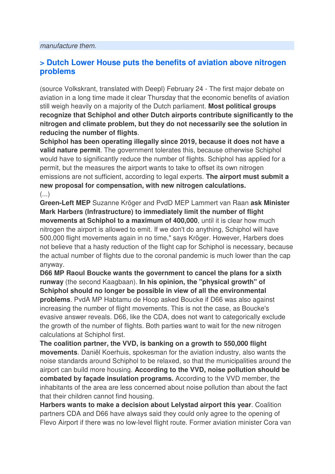### **> Dutch Lower House puts the benefits of aviation above nitrogen problems**

(source Volkskrant, translated with Deepl) February 24 - The first major debate on aviation in a long time made it clear Thursday that the economic benefits of aviation still weigh heavily on a majority of the Dutch parliament. **Most political groups recognize that Schiphol and other Dutch airports contribute significantly to the nitrogen and climate problem, but they do not necessarily see the solution in reducing the number of flights**.

**Schiphol has been operating illegally since 2019, because it does not have a valid nature permit**. The government tolerates this, because otherwise Schiphol would have to significantly reduce the number of flights. Schiphol has applied for a permit, but the measures the airport wants to take to offset its own nitrogen emissions are not sufficient, according to legal experts. **The airport must submit a new proposal for compensation, with new nitrogen calculations.**   $\left( \ldots \right)$ 

**Green-Left MEP** Suzanne Kröger and PvdD MEP Lammert van Raan **ask Minister Mark Harbers (Infrastructure) to immediately limit the number of flight movements at Schiphol to a maximum of 400,000**, until it is clear how much nitrogen the airport is allowed to emit. If we don't do anything, Schiphol will have 500,000 flight movements again in no time," says Kröger. However, Harbers does not believe that a hasty reduction of the flight cap for Schiphol is necessary, because the actual number of flights due to the coronal pandemic is much lower than the cap anyway.

**D66 MP Raoul Boucke wants the government to cancel the plans for a sixth runway** (the second Kaagbaan). **In his opinion, the "physical growth" of Schiphol should no longer be possible in view of all the environmental problems**. PvdA MP Habtamu de Hoop asked Boucke if D66 was also against increasing the number of flight movements. This is not the case, as Boucke's evasive answer reveals. D66, like the CDA, does not want to categorically exclude the growth of the number of flights. Both parties want to wait for the new nitrogen calculations at Schiphol first.

**The coalition partner, the VVD, is banking on a growth to 550,000 flight movements**. Daniël Koerhuis, spokesman for the aviation industry, also wants the noise standards around Schiphol to be relaxed, so that the municipalities around the airport can build more housing. **According to the VVD, noise pollution should be combated by façade insulation programs.** According to the VVD member, the inhabitants of the area are less concerned about noise pollution than about the fact that their children cannot find housing.

**Harbers wants to make a decision about Lelystad airport this year**. Coalition partners CDA and D66 have always said they could only agree to the opening of Flevo Airport if there was no low-level flight route. Former aviation minister Cora van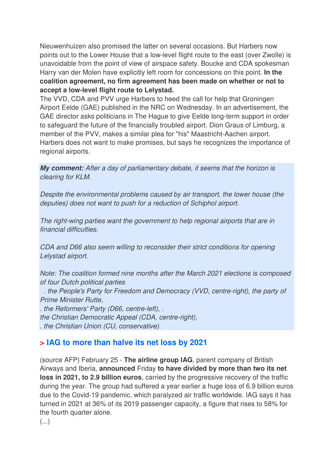Nieuwenhuizen also promised the latter on several occasions. But Harbers now points out to the Lower House that a low-level flight route to the east (over Zwolle) is unavoidable from the point of view of airspace safety. Boucke and CDA spokesman Harry van der Molen have explicitly left room for concessions on this point. **In the coalition agreement, no firm agreement has been made on whether or not to accept a low-level flight route to Lelystad.** 

The VVD, CDA and PVV urge Harbers to heed the call for help that Groningen Airport Eelde (GAE) published in the NRC on Wednesday. In an advertisement, the GAE director asks politicians in The Hague to give Eelde long-term support in order to safeguard the future of the financially troubled airport. Dion Graus of Limburg, a member of the PVV, makes a similar plea for "his" Maastricht-Aachen airport. Harbers does not want to make promises, but says he recognizes the importance of regional airports.

**My comment:** After a day of parliamentary debate, it seems that the horizon is clearing for KLM.

Despite the environmental problems caused by air transport, the lower house (the deputies) does not want to push for a reduction of Schiphol airport.

The right-wing parties want the government to help regional airports that are in financial difficulties.

CDA and D66 also seem willing to reconsider their strict conditions for opening Lelystad airport.

Note: The coalition formed nine months after the March 2021 elections is composed of four Dutch political parties

 . the People's Party for Freedom and Democracy (VVD, centre-right), the party of Prime Minister Rutte,

. the Reformers' Party (D66, centre-left), . the Christian Democratic Appeal (CDA, centre-right),

. the Christian Union (CU, conservative).

## **> IAG to more than halve its net loss by 2021**

(source AFP) February 25 - **The airline group IAG**, parent company of British Airways and Iberia, **announced** Friday **to have divided by more than two its net loss in 2021, to 2.9 billion euros**, carried by the progressive recovery of the traffic during the year. The group had suffered a year earlier a huge loss of 6.9 billion euros due to the Covid-19 pandemic, which paralyzed air traffic worldwide. IAG says it has turned in 2021 at 36% of its 2019 passenger capacity, a figure that rises to 58% for the fourth quarter alone.

(...)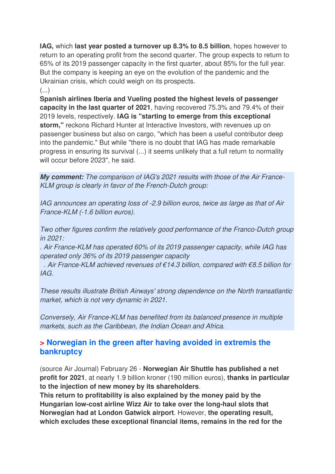**IAG,** which **last year posted a turnover up 8.3% to 8.5 billion**, hopes however to return to an operating profit from the second quarter. The group expects to return to 65% of its 2019 passenger capacity in the first quarter, about 85% for the full year. But the company is keeping an eye on the evolution of the pandemic and the Ukrainian crisis, which could weigh on its prospects.

 $\left( \ldots \right)$ 

**Spanish airlines Iberia and Vueling posted the highest levels of passenger capacity in the last quarter of 2021**, having recovered 75.3% and 79.4% of their 2019 levels, respectively. **IAG is "starting to emerge from this exceptional storm,"** reckons Richard Hunter at Interactive Investors, with revenues up on passenger business but also on cargo, "which has been a useful contributor deep into the pandemic." But while "there is no doubt that IAG has made remarkable progress in ensuring its survival (...) it seems unlikely that a full return to normality will occur before 2023", he said.

**My comment:** The comparison of IAG's 2021 results with those of the Air France-KLM group is clearly in favor of the French-Dutch group:

IAG announces an operating loss of -2.9 billion euros, twice as large as that of Air France-KLM (-1.6 billion euros).

Two other figures confirm the relatively good performance of the Franco-Dutch group in 2021:

. Air France-KLM has operated 60% of its 2019 passenger capacity, while IAG has operated only 36% of its 2019 passenger capacity

. Air France-KLM achieved revenues of  $\epsilon$ 14.3 billion, compared with  $\epsilon$ 8.5 billion for IAG.

These results illustrate British Airways' strong dependence on the North transatlantic market, which is not very dynamic in 2021.

Conversely, Air France-KLM has benefited from its balanced presence in multiple markets, such as the Caribbean, the Indian Ocean and Africa.

### **> Norwegian in the green after having avoided in extremis the bankruptcy**

(source Air Journal) February 26 - **Norwegian Air Shuttle has published a net profit for 2021**, at nearly 1.9 billion kroner (190 million euros), **thanks in particular to the injection of new money by its shareholders**.

**This return to profitability is also explained by the money paid by the Hungarian low-cost airline Wizz Air to take over the long-haul slots that Norwegian had at London Gatwick airport**. However, **the operating result, which excludes these exceptional financial items, remains in the red for the**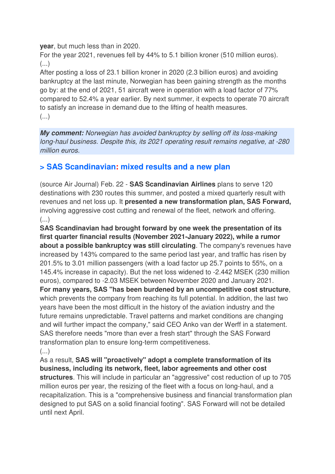**year**, but much less than in 2020.

For the year 2021, revenues fell by 44% to 5.1 billion kroner (510 million euros). (...)

After posting a loss of 23.1 billion kroner in 2020 (2.3 billion euros) and avoiding bankruptcy at the last minute, Norwegian has been gaining strength as the months go by: at the end of 2021, 51 aircraft were in operation with a load factor of 77% compared to 52.4% a year earlier. By next summer, it expects to operate 70 aircraft to satisfy an increase in demand due to the lifting of health measures. (...)

**My comment:** Norwegian has avoided bankruptcy by selling off its loss-making long-haul business. Despite this, its 2021 operating result remains negative, at -280 million euros.

### **> SAS Scandinavian: mixed results and a new plan**

(source Air Journal) Feb. 22 - **SAS Scandinavian Airlines** plans to serve 120 destinations with 230 routes this summer, and posted a mixed quarterly result with revenues and net loss up. It **presented a new transformation plan, SAS Forward,**  involving aggressive cost cutting and renewal of the fleet, network and offering. (...)

**SAS Scandinavian had brought forward by one week the presentation of its first quarter financial results (November 2021-January 2022), while a rumor about a possible bankruptcy was still circulating**. The company's revenues have increased by 143% compared to the same period last year, and traffic has risen by 201.5% to 3.01 million passengers (with a load factor up 25.7 points to 55%, on a 145.4% increase in capacity). But the net loss widened to -2.442 MSEK (230 million euros), compared to -2.03 MSEK between November 2020 and January 2021. **For many years, SAS "has been burdened by an uncompetitive cost structure**, which prevents the company from reaching its full potential. In addition, the last two years have been the most difficult in the history of the aviation industry and the future remains unpredictable. Travel patterns and market conditions are changing and will further impact the company," said CEO Anko van der Werff in a statement. SAS therefore needs "more than ever a fresh start" through the SAS Forward transformation plan to ensure long-term competitiveness.

(...)

As a result, **SAS will "proactively" adopt a complete transformation of its business, including its network, fleet, labor agreements and other cost structures**. This will include in particular an "aggressive" cost reduction of up to 705 million euros per year, the resizing of the fleet with a focus on long-haul, and a recapitalization. This is a "comprehensive business and financial transformation plan designed to put SAS on a solid financial footing". SAS Forward will not be detailed until next April.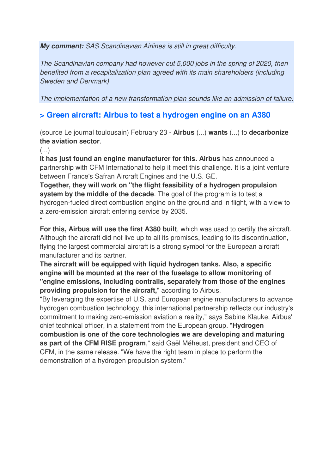**My comment:** SAS Scandinavian Airlines is still in great difficulty.

The Scandinavian company had however cut 5,000 jobs in the spring of 2020, then benefited from a recapitalization plan agreed with its main shareholders (including Sweden and Denmark)

The implementation of a new transformation plan sounds like an admission of failure.

### **> Green aircraft: Airbus to test a hydrogen engine on an A380**

(source Le journal toulousain) February 23 - **Airbus** (...) **wants** (...) to **decarbonize the aviation sector**.

 $\left( \ldots \right)$ 

**It has just found an engine manufacturer for this. Airbus** has announced a partnership with CFM International to help it meet this challenge. It is a joint venture between France's Safran Aircraft Engines and the U.S. GE.

**Together, they will work on "the flight feasibility of a hydrogen propulsion system by the middle of the decade**. The goal of the program is to test a hydrogen-fueled direct combustion engine on the ground and in flight, with a view to a zero-emission aircraft entering service by 2035. "

**For this, Airbus will use the first A380 built**, which was used to certify the aircraft. Although the aircraft did not live up to all its promises, leading to its discontinuation, flying the largest commercial aircraft is a strong symbol for the European aircraft manufacturer and its partner.

**The aircraft will be equipped with liquid hydrogen tanks. Also, a specific engine will be mounted at the rear of the fuselage to allow monitoring of "engine emissions, including contrails, separately from those of the engines providing propulsion for the aircraft,**" according to Airbus.

"By leveraging the expertise of U.S. and European engine manufacturers to advance hydrogen combustion technology, this international partnership reflects our industry's commitment to making zero-emission aviation a reality," says Sabine Klauke, Airbus' chief technical officer, in a statement from the European group. "**Hydrogen combustion is one of the core technologies we are developing and maturing as part of the CFM RISE program**," said Gaël Méheust, president and CEO of CFM, in the same release. "We have the right team in place to perform the demonstration of a hydrogen propulsion system."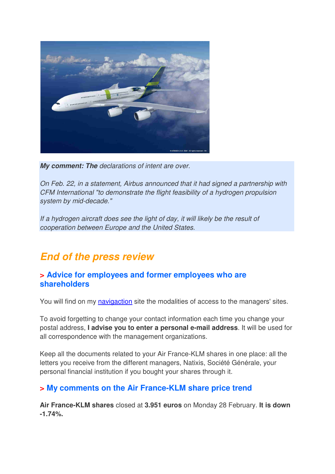

**My comment: The** declarations of intent are over.

On Feb. 22, in a statement, Airbus announced that it had signed a partnership with CFM International "to demonstrate the flight feasibility of a hydrogen propulsion system by mid-decade."

If a hydrogen aircraft does see the light of day, it will likely be the result of cooperation between Europe and the United States.

## **End of the press review**

#### **> Advice for employees and former employees who are shareholders**

You will find on my navigaction site the modalities of access to the managers' sites.

To avoid forgetting to change your contact information each time you change your postal address, **I advise you to enter a personal e-mail address**. It will be used for all correspondence with the management organizations.

Keep all the documents related to your Air France-KLM shares in one place: all the letters you receive from the different managers, Natixis, Société Générale, your personal financial institution if you bought your shares through it.

### **> My comments on the Air France-KLM share price trend**

**Air France-KLM shares** closed at **3.951 euros** on Monday 28 February. **It is down -1.74%.**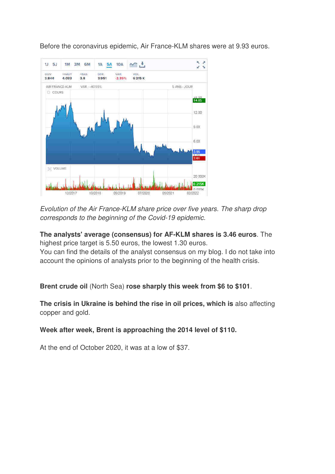Before the coronavirus epidemic, Air France-KLM shares were at 9.93 euros.



Evolution of the Air France-KLM share price over five years. The sharp drop corresponds to the beginning of the Covid-19 epidemic.

**The analysts' average (consensus) for AF-KLM shares is 3.46 euros**. The highest price target is 5.50 euros, the lowest 1.30 euros.

You can find the details of the analyst consensus on my blog. I do not take into account the opinions of analysts prior to the beginning of the health crisis.

**Brent crude oil** (North Sea) **rose sharply this week from \$6 to \$101**.

**The crisis in Ukraine is behind the rise in oil prices, which is** also affecting copper and gold.

#### **Week after week, Brent is approaching the 2014 level of \$110.**

At the end of October 2020, it was at a low of \$37.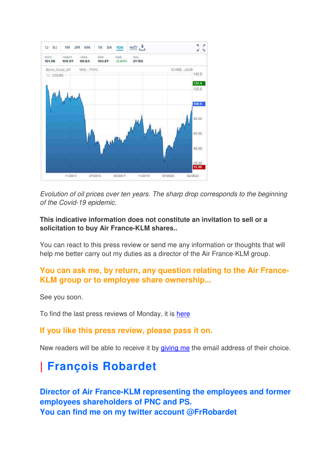

Evolution of oil prices over ten years. The sharp drop corresponds to the beginning of the Covid-19 epidemic.

#### **This indicative information does not constitute an invitation to sell or a solicitation to buy Air France-KLM shares..**

You can react to this press review or send me any information or thoughts that will help me better carry out my duties as a director of the Air France-KLM group.

### **You can ask me, by return, any question relating to the Air France-KLM group or to employee share ownership...**

See you soon.

To find the last press reviews of Monday, it is here

#### **If you like this press review, please pass it on.**

New readers will be able to receive it by giving me the email address of their choice.

# **| François Robardet**

**Director of Air France-KLM representing the employees and former employees shareholders of PNC and PS. You can find me on my twitter account @FrRobardet**